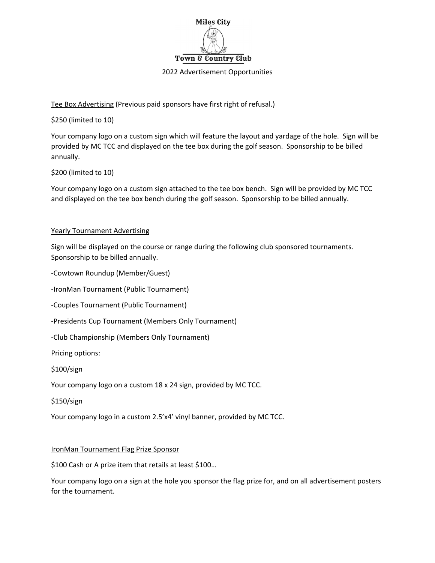

## 2022 Advertisement Opportunities

Tee Box Advertising (Previous paid sponsors have first right of refusal.)

\$250 (limited to 10)

Your company logo on a custom sign which will feature the layout and yardage of the hole. Sign will be provided by MC TCC and displayed on the tee box during the golf season. Sponsorship to be billed annually.

## \$200 (limited to 10)

Your company logo on a custom sign attached to the tee box bench. Sign will be provided by MC TCC and displayed on the tee box bench during the golf season. Sponsorship to be billed annually.

## Yearly Tournament Advertising

Sign will be displayed on the course or range during the following club sponsored tournaments. Sponsorship to be billed annually.

‐Cowtown Roundup (Member/Guest)

‐IronMan Tournament (Public Tournament)

‐Couples Tournament (Public Tournament)

‐Presidents Cup Tournament (Members Only Tournament)

‐Club Championship (Members Only Tournament)

Pricing options:

\$100/sign

Your company logo on a custom 18 x 24 sign, provided by MC TCC.

\$150/sign

Your company logo in a custom 2.5'x4' vinyl banner, provided by MC TCC.

## IronMan Tournament Flag Prize Sponsor

\$100 Cash or A prize item that retails at least \$100…

Your company logo on a sign at the hole you sponsor the flag prize for, and on all advertisement posters for the tournament.